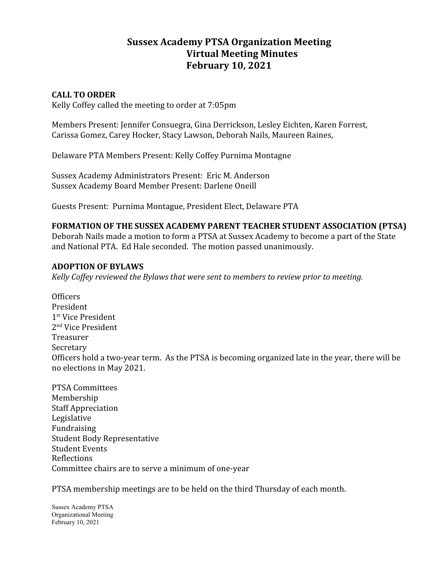# **Sussex Academy PTSA Organization Meeting Virtual Meeting Minutes February 10, 2021**

## **CALL TO ORDER**

Kelly Coffey called the meeting to order at 7:05pm

Members Present: Jennifer Consuegra, Gina Derrickson, Lesley Eichten, Karen Forrest, Carissa Gomez, Carey Hocker, Stacy Lawson, Deborah Nails, Maureen Raines,

Delaware PTA Members Present: Kelly Coffey Purnima Montagne

Sussex Academy Administrators Present: Eric M. Anderson Sussex Academy Board Member Present: Darlene Oneill

Guests Present: Purnima Montague, President Elect, Delaware PTA

## **FORMATION OF THE SUSSEX ACADEMY PARENT TEACHER STUDENT ASSOCIATION (PTSA)**

Deborah Nails made a motion to form a PTSA at Sussex Academy to become a part of the State and National PTA. Ed Hale seconded. The motion passed unanimously.

## **ADOPTION OF BYLAWS**

*Kelly Coffey reviewed the Bylaws that were sent to members to review prior to meeting.*

**Officers** President 1 st Vice President 2 nd Vice President Treasurer Secretary Officers hold a two-year term. As the PTSA is becoming organized late in the year, there will be no elections in May 2021.

PTSA Committees Membership Staff Appreciation Legislative Fundraising Student Body Representative Student Events Reflections Committee chairs are to serve a minimum of one-year

PTSA membership meetings are to be held on the third Thursday of each month.

Sussex Academy PTSA Organizational Meeting February 10, 2021